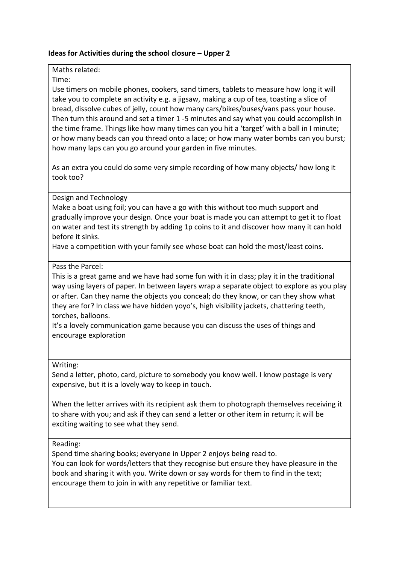# **Ideas for Activities during the school closure – Upper 2**

## Maths related:

#### Time:

Use timers on mobile phones, cookers, sand timers, tablets to measure how long it will take you to complete an activity e.g. a jigsaw, making a cup of tea, toasting a slice of bread, dissolve cubes of jelly, count how many cars/bikes/buses/vans pass your house. Then turn this around and set a timer 1 -5 minutes and say what you could accomplish in the time frame. Things like how many times can you hit a 'target' with a ball in I minute; or how many beads can you thread onto a lace; or how many water bombs can you burst; how many laps can you go around your garden in five minutes.

As an extra you could do some very simple recording of how many objects/ how long it took too?

## Design and Technology

Make a boat using foil; you can have a go with this without too much support and gradually improve your design. Once your boat is made you can attempt to get it to float on water and test its strength by adding 1p coins to it and discover how many it can hold before it sinks.

Have a competition with your family see whose boat can hold the most/least coins.

## Pass the Parcel:

This is a great game and we have had some fun with it in class; play it in the traditional way using layers of paper. In between layers wrap a separate object to explore as you play or after. Can they name the objects you conceal; do they know, or can they show what they are for? In class we have hidden yoyo's, high visibility jackets, chattering teeth, torches, balloons.

It's a lovely communication game because you can discuss the uses of things and encourage exploration

#### Writing:

Send a letter, photo, card, picture to somebody you know well. I know postage is very expensive, but it is a lovely way to keep in touch.

When the letter arrives with its recipient ask them to photograph themselves receiving it to share with you; and ask if they can send a letter or other item in return; it will be exciting waiting to see what they send.

#### Reading:

Spend time sharing books; everyone in Upper 2 enjoys being read to. You can look for words/letters that they recognise but ensure they have pleasure in the book and sharing it with you. Write down or say words for them to find in the text; encourage them to join in with any repetitive or familiar text.